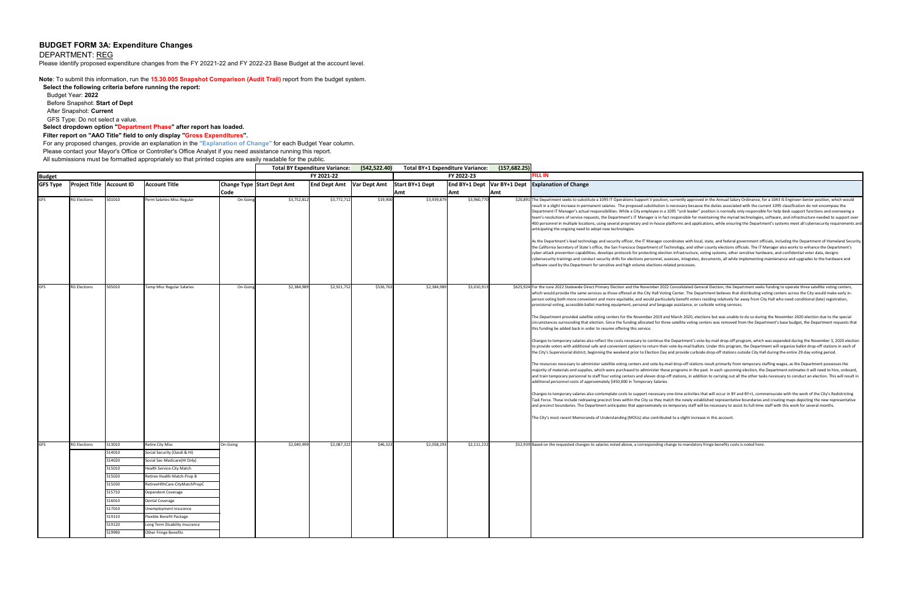## **BUDGET FORM 3A: Expenditure Changes**

DEPARTMENT: REG

Please identify proposed expenditure changes from the FY 20221-22 and FY 2022-23 Base Budget at the account level.

**Note**: To submit this information, run the **15.30.005 Snapshot Comparison (Audit Trail)** report from the budget system.

**Select the following criteria before running the report:** 

Budget Year: **2022**

Before Snapshot: **Start of Dept**

After Snapshot: **Current**

GFS Type: Do not select a value.

**Select dropdown option "Department Phase" after report has loaded.**

**Filter report on "AAO Title" field to only display "Gross Expenditures".** 

For any proposed changes, provide an explanation in the **"Explanation of Change"** for each Budget Year column.

Please contact your Mayor's Office or Controller's Office Analyst if you need assistance running this report.

All submissions must be formatted appropriately so that printed copies are easily readable for the public.

| (157, 682.25) |                                                                                                                                                                                                                                                                                                                                                                                                                                                                                                                                                                                                                                                                                                                                                                                                                                                                                                                                                                                                                             |
|---------------|-----------------------------------------------------------------------------------------------------------------------------------------------------------------------------------------------------------------------------------------------------------------------------------------------------------------------------------------------------------------------------------------------------------------------------------------------------------------------------------------------------------------------------------------------------------------------------------------------------------------------------------------------------------------------------------------------------------------------------------------------------------------------------------------------------------------------------------------------------------------------------------------------------------------------------------------------------------------------------------------------------------------------------|
|               | FILL IN                                                                                                                                                                                                                                                                                                                                                                                                                                                                                                                                                                                                                                                                                                                                                                                                                                                                                                                                                                                                                     |
| BY+1 Dept     | <b>Explanation of Change</b>                                                                                                                                                                                                                                                                                                                                                                                                                                                                                                                                                                                                                                                                                                                                                                                                                                                                                                                                                                                                |
|               | \$20,891 The Department seeks to substitute a 1095 IT Operations Support V position, currently approved in the Annual Salary Ordinance, for a 1043 IS Engineer-Senior position, which would<br>result in a slight increase in permanent salaries. The proposed substitution is necessary because the duties associated with the current 1095 classification do not encompass the<br>Department IT Manager's actual responsibilities. While a City employee in a 1095 "unit leader" position is normally only responsible for help desk support functions and overseeing a<br>team's resolutions of service requests, the Department's IT Manager is in fact responsible for maintaining the myriad technologies, software, and infrastructure needed to support over<br>400 personnel in multiple locations, using several proprietary and in-house platforms and applications, while ensuring the Department's systems meet all cybersecurity requirements and<br>anticipating the ongoing need to adopt new technologies. |
|               | As the Department's lead technology and security officer, the IT Manager coordinates with local, state, and federal government officials, including the Department of Homeland Security,<br>the California Secretary of State's office, the San Francisco Department of Technology, and other county elections officials. The IT Manager also works to enhance the Department's<br>cyber-attack prevention capabilities, develops protocols for protecting election infrastructure, voting systems, other sensitive hardware, and confidential voter data, designs<br>cybersecurity trainings and conduct security drills for elections personnel, assesses, integrates, documents, all while implementing maintenance and upgrades to the hardware and<br>software used by the Department for sensitive and high volume elections-related processes.                                                                                                                                                                       |
|               | \$625,924 For the June 2022 Statewide Direct Primary Election and the November 2022 Consolidated General Election, the Department seeks funding to operate three satellite voting centers,<br>which would provide the same services as those offered at the City Hall Voting Center. The Department believes that distributing voting centers across the City would make early in-<br>person voting both more convenient and more equitable, and would particularly benefit voters residing relatively far away from City Hall who need conditional (late) registration,<br>provisional voting, accessible ballot marking equipment, personal and language assistance, or curbside voting services.                                                                                                                                                                                                                                                                                                                         |
|               | The Department provided satellite voting centers for the November 2019 and March 2020, elections but was unable to do so during the November 2020 election due to the special<br>circumstances surrounding that election. Since the funding allocated for three satellite voting centers was removed from the Department's base budget, the Department requests that<br>this funding be added back in order to resume offering this service.                                                                                                                                                                                                                                                                                                                                                                                                                                                                                                                                                                                |
|               | Changes to temporary salaries also reflect the costs necessary to continue the Department's vote-by-mail drop-off program, which was expanded during the November 3, 2020 election<br>to provide voters with additional safe and convenient options to return their vote-by-mail ballots. Under this program, the Department will organize ballot drop-off stations in each of<br>the City's Supervisorial district, beginning the weekend prior to Election Day and provide curbside drop-off stations outside City Hall during the entire 29-day voting period.                                                                                                                                                                                                                                                                                                                                                                                                                                                           |
|               | The resources necessary to administer satellite voting centers and vote-by-mail drop-off stations result primarily from temporary staffing wages, as the Department possesses the<br>majority of materials and supplies, which were purchased to administer these programs in the past. In each upcoming election, the Department estimates it will need to hire, onboard,<br>and train temporary personnel to staff four voting centers and eleven drop-off stations, in addition to carrying out all the other tasks necessary to conduct an election. This will result in<br>additional personnel costs of approximately \$450,000 in Temporary Salaries.                                                                                                                                                                                                                                                                                                                                                                |
|               | Changes to temporary salaries also contemplate costs to support necessary one-time activities that will occur in BY and BY+1, commensurate with the work of the City's Redistricting<br>Task Force. These include redrawing precinct lines within the City so they match the newly established representative boundaries and creating maps depicting the new representative<br>and precinct boundaries. The Department anticipates that approximately six temporary staff will be necessary to assist its full-time staff with this work for several months.                                                                                                                                                                                                                                                                                                                                                                                                                                                                |
|               | The City's most recent Memoranda of Understanding (MOUs) also contributed to a slight increase in this account.                                                                                                                                                                                                                                                                                                                                                                                                                                                                                                                                                                                                                                                                                                                                                                                                                                                                                                             |
|               | \$52,939 Based on the requested changes to salaries noted above, a corresponding change to mandatory fringe benefits costs is noted here.                                                                                                                                                                                                                                                                                                                                                                                                                                                                                                                                                                                                                                                                                                                                                                                                                                                                                   |
|               |                                                                                                                                                                                                                                                                                                                                                                                                                                                                                                                                                                                                                                                                                                                                                                                                                                                                                                                                                                                                                             |
|               |                                                                                                                                                                                                                                                                                                                                                                                                                                                                                                                                                                                                                                                                                                                                                                                                                                                                                                                                                                                                                             |
|               |                                                                                                                                                                                                                                                                                                                                                                                                                                                                                                                                                                                                                                                                                                                                                                                                                                                                                                                                                                                                                             |
|               |                                                                                                                                                                                                                                                                                                                                                                                                                                                                                                                                                                                                                                                                                                                                                                                                                                                                                                                                                                                                                             |
|               |                                                                                                                                                                                                                                                                                                                                                                                                                                                                                                                                                                                                                                                                                                                                                                                                                                                                                                                                                                                                                             |
|               |                                                                                                                                                                                                                                                                                                                                                                                                                                                                                                                                                                                                                                                                                                                                                                                                                                                                                                                                                                                                                             |

|                 |                                   |        |                                  |             |                                   | <b>Total BY Expenditure Variance:</b> | (542, 522.40) | <b>Total BY+1 Expenditure Variance:</b>       |             | (157, 682.25) |                                                                                                                                                                                                                                                                                                                                                                                                                                                                                                                                                                                                                                                                                                                                                                                                                                                                                                                                                                                                                                                                                                                                                                                                                                                                                                                                                                                                                                                                                                                                                                                                                                                                                                                                                                                                                                                                                                                                                                                                                                                                                                                                                                                                                                                                                                                                                                                                                                                                                                                                                                                                                                                                                                                                                                                                                                                                                                                                                                                                                                                                    |
|-----------------|-----------------------------------|--------|----------------------------------|-------------|-----------------------------------|---------------------------------------|---------------|-----------------------------------------------|-------------|---------------|--------------------------------------------------------------------------------------------------------------------------------------------------------------------------------------------------------------------------------------------------------------------------------------------------------------------------------------------------------------------------------------------------------------------------------------------------------------------------------------------------------------------------------------------------------------------------------------------------------------------------------------------------------------------------------------------------------------------------------------------------------------------------------------------------------------------------------------------------------------------------------------------------------------------------------------------------------------------------------------------------------------------------------------------------------------------------------------------------------------------------------------------------------------------------------------------------------------------------------------------------------------------------------------------------------------------------------------------------------------------------------------------------------------------------------------------------------------------------------------------------------------------------------------------------------------------------------------------------------------------------------------------------------------------------------------------------------------------------------------------------------------------------------------------------------------------------------------------------------------------------------------------------------------------------------------------------------------------------------------------------------------------------------------------------------------------------------------------------------------------------------------------------------------------------------------------------------------------------------------------------------------------------------------------------------------------------------------------------------------------------------------------------------------------------------------------------------------------------------------------------------------------------------------------------------------------------------------------------------------------------------------------------------------------------------------------------------------------------------------------------------------------------------------------------------------------------------------------------------------------------------------------------------------------------------------------------------------------------------------------------------------------------------------------------------------------|
| <b>Budget</b>   |                                   |        |                                  |             |                                   | FY 2021-22                            |               |                                               | FY 2022-23  |               | ILL IN                                                                                                                                                                                                                                                                                                                                                                                                                                                                                                                                                                                                                                                                                                                                                                                                                                                                                                                                                                                                                                                                                                                                                                                                                                                                                                                                                                                                                                                                                                                                                                                                                                                                                                                                                                                                                                                                                                                                                                                                                                                                                                                                                                                                                                                                                                                                                                                                                                                                                                                                                                                                                                                                                                                                                                                                                                                                                                                                                                                                                                                             |
| <b>GFS Type</b> | <b>Project Title   Account ID</b> |        | <b>Account Title</b>             |             | <b>Change Type Start Dept Amt</b> |                                       |               | End Dept Amt   Var Dept Amt   Start BY+1 Dept |             |               | <b>End BY+1 Dept Var BY+1 Dept Explanation of Change</b>                                                                                                                                                                                                                                                                                                                                                                                                                                                                                                                                                                                                                                                                                                                                                                                                                                                                                                                                                                                                                                                                                                                                                                                                                                                                                                                                                                                                                                                                                                                                                                                                                                                                                                                                                                                                                                                                                                                                                                                                                                                                                                                                                                                                                                                                                                                                                                                                                                                                                                                                                                                                                                                                                                                                                                                                                                                                                                                                                                                                           |
|                 |                                   |        |                                  | <b>Code</b> |                                   |                                       |               | Amt                                           | Amt         | Amt           |                                                                                                                                                                                                                                                                                                                                                                                                                                                                                                                                                                                                                                                                                                                                                                                                                                                                                                                                                                                                                                                                                                                                                                                                                                                                                                                                                                                                                                                                                                                                                                                                                                                                                                                                                                                                                                                                                                                                                                                                                                                                                                                                                                                                                                                                                                                                                                                                                                                                                                                                                                                                                                                                                                                                                                                                                                                                                                                                                                                                                                                                    |
| <b>GFS</b>      | <b>RG Elections</b>               | 501010 | Perm Salaries-Misc-Regular       | On-Going    | \$3,752,812                       | \$3,772,712                           | \$19,900      | \$3,939,879                                   | \$3,960,770 |               | \$20,891 The Department seeks to substitute a 1095 IT Operations Support V position, currently approved in the Annual Salary Ordinance, for a 1043 IS Engineer-Senior position, which would<br>result in a slight increase in permanent salaries. The proposed substitution is necessary because the duties associated with the current 1095 classification do not encompass the<br>Department IT Manager's actual responsibilities. While a City employee in a 1095 "unit leader" position is normally only responsible for help desk support functions and overseeing a<br>team's resolutions of service requests, the Department's IT Manager is in fact responsible for maintaining the myriad technologies, software, and infrastructure needed to support ov<br>400 personnel in multiple locations, using several proprietary and in-house platforms and applications, while ensuring the Department's systems meet all cybersecurity requirements<br>anticipating the ongoing need to adopt new technologies.<br>As the Department's lead technology and security officer, the IT Manager coordinates with local, state, and federal government officials, including the Department of Homeland Secur<br>the California Secretary of State's office, the San Francisco Department of Technology, and other county elections officials. The IT Manager also works to enhance the Department's<br>cyber-attack prevention capabilities, develops protocols for protecting election infrastructure, voting systems, other sensitive hardware, and confidential voter data, designs<br>cybersecurity trainings and conduct security drills for elections personnel, assesses, integrates, documents, all while implementing maintenance and upgrades to the hardware and<br>software used by the Department for sensitive and high volume elections-related processes.                                                                                                                                                                                                                                                                                                                                                                                                                                                                                                                                                                                                                                                                                                                                                                                                                                                                                                                                                                                                                                                                                                                                                                                         |
| <b>GFS</b>      | <b>RG Elections</b>               | 505010 | Temp Misc Regular Salaries       | On-Going    | \$2,384,989                       | \$2,921,752                           | \$536,763     | \$2,384,989                                   | \$3,010,913 |               | \$625,924 For the June 2022 Statewide Direct Primary Election and the November 2022 Consolidated General Election, the Department seeks funding to operate three satellite voting centers,<br>which would provide the same services as those offered at the City Hall Voting Center. The Department believes that distributing voting centers across the City would make early in-<br>person voting both more convenient and more equitable, and would particularly benefit voters residing relatively far away from City Hall who need conditional (late) registration,<br>provisional voting, accessible ballot marking equipment, personal and language assistance, or curbside voting services.<br>The Department provided satellite voting centers for the November 2019 and March 2020, elections but was unable to do so during the November 2020 election due to the special<br>circumstances surrounding that election. Since the funding allocated for three satellite voting centers was removed from the Department's base budget, the Department requests that<br>this funding be added back in order to resume offering this service.<br>Changes to temporary salaries also reflect the costs necessary to continue the Department's vote-by-mail drop-off program, which was expanded during the November 3, 2020 elect<br>to provide voters with additional safe and convenient options to return their vote-by-mail ballots. Under this program, the Department will organize ballot drop-off stations in each o<br>the City's Supervisorial district, beginning the weekend prior to Election Day and provide curbside drop-off stations outside City Hall during the entire 29-day voting period.<br>The resources necessary to administer satellite voting centers and vote-by-mail drop-off stations result primarily from temporary staffing wages, as the Department possesses the<br>majority of materials and supplies, which were purchased to administer these programs in the past. In each upcoming election, the Department estimates it will need to hire, onboar<br>and train temporary personnel to staff four voting centers and eleven drop-off stations, in addition to carrying out all the other tasks necessary to conduct an election. This will result<br>additional personnel costs of approximately \$450,000 in Temporary Salaries.<br>Changes to temporary salaries also contemplate costs to support necessary one-time activities that will occur in BY and BY+1, commensurate with the work of the City's Redistricting<br>Task Force. These include redrawing precinct lines within the City so they match the newly established representative boundaries and creating maps depicting the new representative<br>and precinct boundaries. The Department anticipates that approximately six temporary staff will be necessary to assist its full-time staff with this work for several months.<br>The City's most recent Memoranda of Understanding (MOUs) also contributed to a slight increase in this account. |
| GFS             | <b>RG Elections</b>               | 513010 | <b>Retire City Misc</b>          | On-Going    | \$2,040,999                       | \$2,087,322                           | \$46,323      | \$2,058,293                                   | \$2,111,232 |               | \$52,939 Based on the requested changes to salaries noted above, a corresponding change to mandatory fringe benefits costs is noted here.                                                                                                                                                                                                                                                                                                                                                                                                                                                                                                                                                                                                                                                                                                                                                                                                                                                                                                                                                                                                                                                                                                                                                                                                                                                                                                                                                                                                                                                                                                                                                                                                                                                                                                                                                                                                                                                                                                                                                                                                                                                                                                                                                                                                                                                                                                                                                                                                                                                                                                                                                                                                                                                                                                                                                                                                                                                                                                                          |
|                 |                                   | 514010 | Social Security (Oasdi & Hi)     |             |                                   |                                       |               |                                               |             |               |                                                                                                                                                                                                                                                                                                                                                                                                                                                                                                                                                                                                                                                                                                                                                                                                                                                                                                                                                                                                                                                                                                                                                                                                                                                                                                                                                                                                                                                                                                                                                                                                                                                                                                                                                                                                                                                                                                                                                                                                                                                                                                                                                                                                                                                                                                                                                                                                                                                                                                                                                                                                                                                                                                                                                                                                                                                                                                                                                                                                                                                                    |
|                 |                                   | 514020 | Social Sec-Medicare(HI Only)     |             |                                   |                                       |               |                                               |             |               |                                                                                                                                                                                                                                                                                                                                                                                                                                                                                                                                                                                                                                                                                                                                                                                                                                                                                                                                                                                                                                                                                                                                                                                                                                                                                                                                                                                                                                                                                                                                                                                                                                                                                                                                                                                                                                                                                                                                                                                                                                                                                                                                                                                                                                                                                                                                                                                                                                                                                                                                                                                                                                                                                                                                                                                                                                                                                                                                                                                                                                                                    |
|                 |                                   | 15010  | <b>Health Service-City Match</b> |             |                                   |                                       |               |                                               |             |               |                                                                                                                                                                                                                                                                                                                                                                                                                                                                                                                                                                                                                                                                                                                                                                                                                                                                                                                                                                                                                                                                                                                                                                                                                                                                                                                                                                                                                                                                                                                                                                                                                                                                                                                                                                                                                                                                                                                                                                                                                                                                                                                                                                                                                                                                                                                                                                                                                                                                                                                                                                                                                                                                                                                                                                                                                                                                                                                                                                                                                                                                    |
|                 |                                   | 515020 | Retiree Health-Match-Prop B      |             |                                   |                                       |               |                                               |             |               |                                                                                                                                                                                                                                                                                                                                                                                                                                                                                                                                                                                                                                                                                                                                                                                                                                                                                                                                                                                                                                                                                                                                                                                                                                                                                                                                                                                                                                                                                                                                                                                                                                                                                                                                                                                                                                                                                                                                                                                                                                                                                                                                                                                                                                                                                                                                                                                                                                                                                                                                                                                                                                                                                                                                                                                                                                                                                                                                                                                                                                                                    |
|                 |                                   | 515030 | RetireeHlthCare-CityMatchPropC   |             |                                   |                                       |               |                                               |             |               |                                                                                                                                                                                                                                                                                                                                                                                                                                                                                                                                                                                                                                                                                                                                                                                                                                                                                                                                                                                                                                                                                                                                                                                                                                                                                                                                                                                                                                                                                                                                                                                                                                                                                                                                                                                                                                                                                                                                                                                                                                                                                                                                                                                                                                                                                                                                                                                                                                                                                                                                                                                                                                                                                                                                                                                                                                                                                                                                                                                                                                                                    |
|                 |                                   | 515710 | Dependent Coverage               |             |                                   |                                       |               |                                               |             |               |                                                                                                                                                                                                                                                                                                                                                                                                                                                                                                                                                                                                                                                                                                                                                                                                                                                                                                                                                                                                                                                                                                                                                                                                                                                                                                                                                                                                                                                                                                                                                                                                                                                                                                                                                                                                                                                                                                                                                                                                                                                                                                                                                                                                                                                                                                                                                                                                                                                                                                                                                                                                                                                                                                                                                                                                                                                                                                                                                                                                                                                                    |
|                 |                                   | 516010 | <b>Dental Coverage</b>           |             |                                   |                                       |               |                                               |             |               |                                                                                                                                                                                                                                                                                                                                                                                                                                                                                                                                                                                                                                                                                                                                                                                                                                                                                                                                                                                                                                                                                                                                                                                                                                                                                                                                                                                                                                                                                                                                                                                                                                                                                                                                                                                                                                                                                                                                                                                                                                                                                                                                                                                                                                                                                                                                                                                                                                                                                                                                                                                                                                                                                                                                                                                                                                                                                                                                                                                                                                                                    |
|                 |                                   | 517010 | Unemployment Insurance           |             |                                   |                                       |               |                                               |             |               |                                                                                                                                                                                                                                                                                                                                                                                                                                                                                                                                                                                                                                                                                                                                                                                                                                                                                                                                                                                                                                                                                                                                                                                                                                                                                                                                                                                                                                                                                                                                                                                                                                                                                                                                                                                                                                                                                                                                                                                                                                                                                                                                                                                                                                                                                                                                                                                                                                                                                                                                                                                                                                                                                                                                                                                                                                                                                                                                                                                                                                                                    |
|                 |                                   | 19110  | Flexible Benefit Package         |             |                                   |                                       |               |                                               |             |               |                                                                                                                                                                                                                                                                                                                                                                                                                                                                                                                                                                                                                                                                                                                                                                                                                                                                                                                                                                                                                                                                                                                                                                                                                                                                                                                                                                                                                                                                                                                                                                                                                                                                                                                                                                                                                                                                                                                                                                                                                                                                                                                                                                                                                                                                                                                                                                                                                                                                                                                                                                                                                                                                                                                                                                                                                                                                                                                                                                                                                                                                    |
|                 |                                   | 519120 | Long Term Disability Insurance   |             |                                   |                                       |               |                                               |             |               |                                                                                                                                                                                                                                                                                                                                                                                                                                                                                                                                                                                                                                                                                                                                                                                                                                                                                                                                                                                                                                                                                                                                                                                                                                                                                                                                                                                                                                                                                                                                                                                                                                                                                                                                                                                                                                                                                                                                                                                                                                                                                                                                                                                                                                                                                                                                                                                                                                                                                                                                                                                                                                                                                                                                                                                                                                                                                                                                                                                                                                                                    |
|                 |                                   | 519990 | <b>Other Fringe Benefits</b>     |             |                                   |                                       |               |                                               |             |               |                                                                                                                                                                                                                                                                                                                                                                                                                                                                                                                                                                                                                                                                                                                                                                                                                                                                                                                                                                                                                                                                                                                                                                                                                                                                                                                                                                                                                                                                                                                                                                                                                                                                                                                                                                                                                                                                                                                                                                                                                                                                                                                                                                                                                                                                                                                                                                                                                                                                                                                                                                                                                                                                                                                                                                                                                                                                                                                                                                                                                                                                    |
|                 |                                   |        |                                  |             |                                   |                                       |               |                                               |             |               |                                                                                                                                                                                                                                                                                                                                                                                                                                                                                                                                                                                                                                                                                                                                                                                                                                                                                                                                                                                                                                                                                                                                                                                                                                                                                                                                                                                                                                                                                                                                                                                                                                                                                                                                                                                                                                                                                                                                                                                                                                                                                                                                                                                                                                                                                                                                                                                                                                                                                                                                                                                                                                                                                                                                                                                                                                                                                                                                                                                                                                                                    |